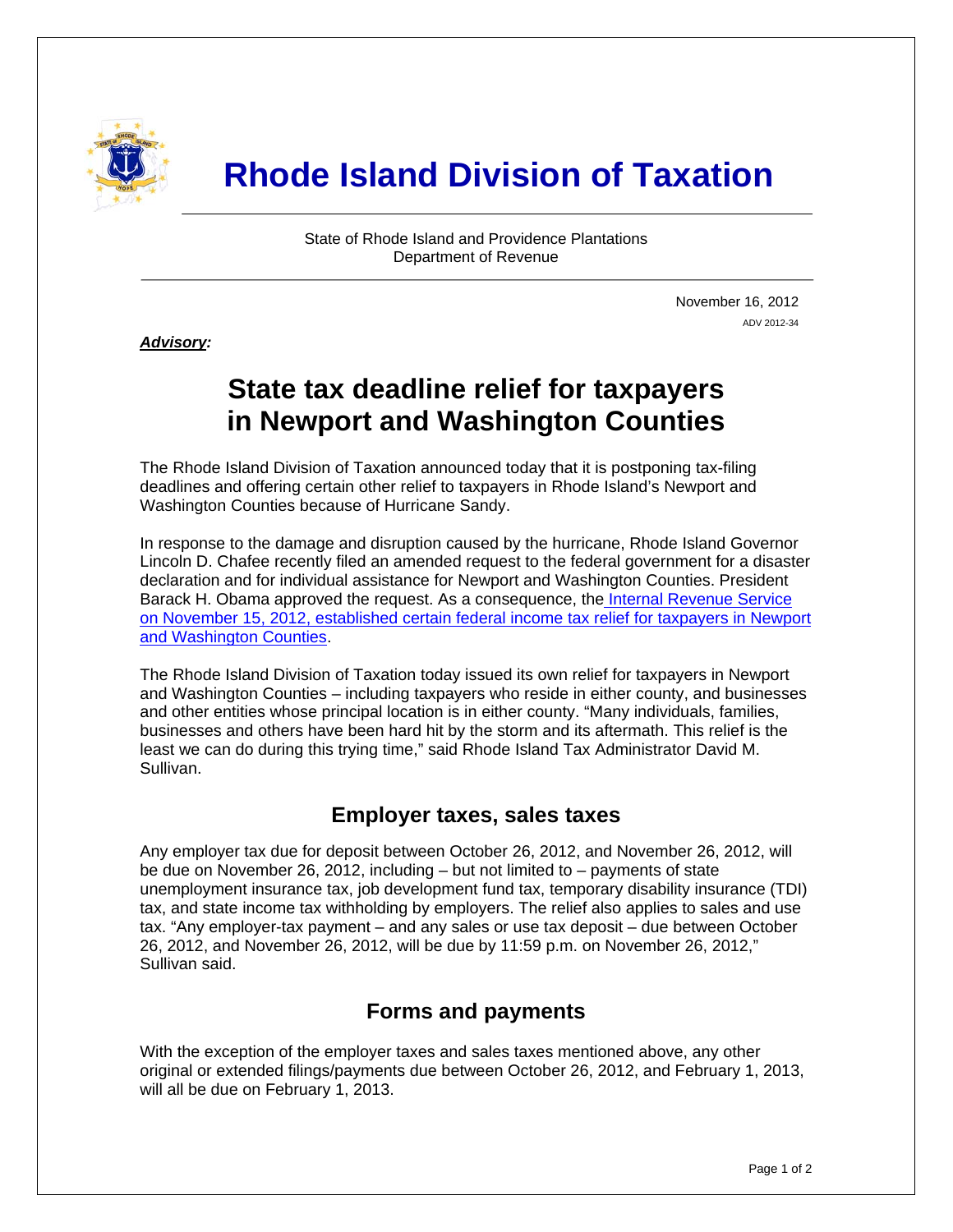

# **Rhode Island Division of Taxation**

State of Rhode Island and Providence Plantations Department of Revenue

> November 16, 2012 ADV 2012-34

*Advisory:* 

j

## **State tax deadline relief for taxpayers in Newport and Washington Counties**

The Rhode Island Division of Taxation announced today that it is postponing tax-filing deadlines and offering certain other relief to taxpayers in Rhode Island's Newport and Washington Counties because of Hurricane Sandy.

In response to the damage and disruption caused by the hurricane, Rhode Island Governor Lincoln D. Chafee recently filed an amended request to the federal government for a disaster declaration and for individual assistance for Newport and Washington Counties. President Barack H. Obama approved the request. As a consequence, th[e Internal Revenue Service](http://www.irs.gov/uac/Newsroom/Tax-Relief-for-Victims-of-Hurricane-Sandy-in-Rhode-Island)  [on November 15, 2012, established certain federal income tax relief for taxpayers in Newport](http://www.irs.gov/uac/Newsroom/Tax-Relief-for-Victims-of-Hurricane-Sandy-in-Rhode-Island)  [and Washington Counties](http://www.irs.gov/uac/Newsroom/Tax-Relief-for-Victims-of-Hurricane-Sandy-in-Rhode-Island).

The Rhode Island Division of Taxation today issued its own relief for taxpayers in Newport and Washington Counties – including taxpayers who reside in either county, and businesses and other entities whose principal location is in either county. "Many individuals, families, businesses and others have been hard hit by the storm and its aftermath. This relief is the least we can do during this trying time," said Rhode Island Tax Administrator David M. Sullivan.

#### **Employer taxes, sales taxes**

Any employer tax due for deposit between October 26, 2012, and November 26, 2012, will be due on November 26, 2012, including – but not limited to – payments of state unemployment insurance tax, job development fund tax, temporary disability insurance (TDI) tax, and state income tax withholding by employers. The relief also applies to sales and use tax. "Any employer-tax payment – and any sales or use tax deposit – due between October 26, 2012, and November 26, 2012, will be due by 11:59 p.m. on November 26, 2012," Sullivan said.

### **Forms and payments**

With the exception of the employer taxes and sales taxes mentioned above, any other original or extended filings/payments due between October 26, 2012, and February 1, 2013, will all be due on February 1, 2013.